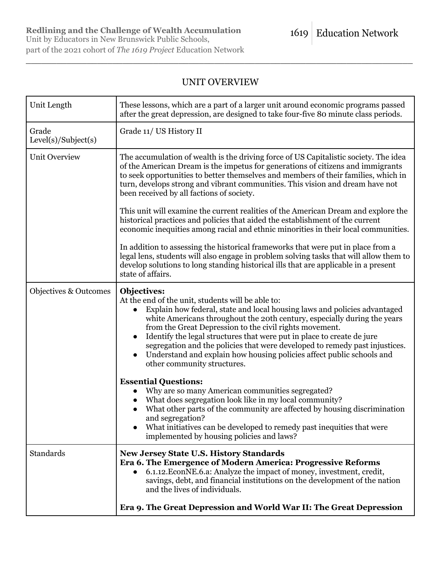# UNIT OVERVIEW

\_\_\_\_\_\_\_\_\_\_\_\_\_\_\_\_\_\_\_\_\_\_\_\_\_\_\_\_\_\_\_\_\_\_\_\_\_\_\_\_\_\_\_\_\_\_\_\_\_\_\_\_\_\_\_\_\_\_\_\_\_\_\_\_\_\_\_\_\_\_\_\_\_\_\_\_

| Unit Length                  | These lessons, which are a part of a larger unit around economic programs passed<br>after the great depression, are designed to take four-five 80 minute class periods.                                                                                                                                                                                                                                                                                                                                                                                            |
|------------------------------|--------------------------------------------------------------------------------------------------------------------------------------------------------------------------------------------------------------------------------------------------------------------------------------------------------------------------------------------------------------------------------------------------------------------------------------------------------------------------------------------------------------------------------------------------------------------|
| Grade<br>Level(s)/Subject(s) | Grade 11/ US History II                                                                                                                                                                                                                                                                                                                                                                                                                                                                                                                                            |
| <b>Unit Overview</b>         | The accumulation of wealth is the driving force of US Capitalistic society. The idea<br>of the American Dream is the impetus for generations of citizens and immigrants<br>to seek opportunities to better themselves and members of their families, which in<br>turn, develops strong and vibrant communities. This vision and dream have not<br>been received by all factions of society.                                                                                                                                                                        |
|                              | This unit will examine the current realities of the American Dream and explore the<br>historical practices and policies that aided the establishment of the current<br>economic inequities among racial and ethnic minorities in their local communities.                                                                                                                                                                                                                                                                                                          |
|                              | In addition to assessing the historical frameworks that were put in place from a<br>legal lens, students will also engage in problem solving tasks that will allow them to<br>develop solutions to long standing historical ills that are applicable in a present<br>state of affairs.                                                                                                                                                                                                                                                                             |
| Objectives & Outcomes        | Objectives:<br>At the end of the unit, students will be able to:<br>Explain how federal, state and local housing laws and policies advantaged<br>white Americans throughout the 20th century, especially during the years<br>from the Great Depression to the civil rights movement.<br>Identify the legal structures that were put in place to create de jure<br>segregation and the policies that were developed to remedy past injustices.<br>Understand and explain how housing policies affect public schools and<br>$\bullet$<br>other community structures. |
|                              | <b>Essential Questions:</b><br>Why are so many American communities segregated?<br>What does segregation look like in my local community?<br>What other parts of the community are affected by housing discrimination<br>and segregation?<br>What initiatives can be developed to remedy past inequities that were<br>implemented by housing policies and laws?                                                                                                                                                                                                    |
| Standards                    | <b>New Jersey State U.S. History Standards</b><br>Era 6. The Emergence of Modern America: Progressive Reforms<br>6.1.12. EconNE.6.a: Analyze the impact of money, investment, credit,<br>$\bullet$<br>savings, debt, and financial institutions on the development of the nation<br>and the lives of individuals.                                                                                                                                                                                                                                                  |
|                              | Era 9. The Great Depression and World War II: The Great Depression                                                                                                                                                                                                                                                                                                                                                                                                                                                                                                 |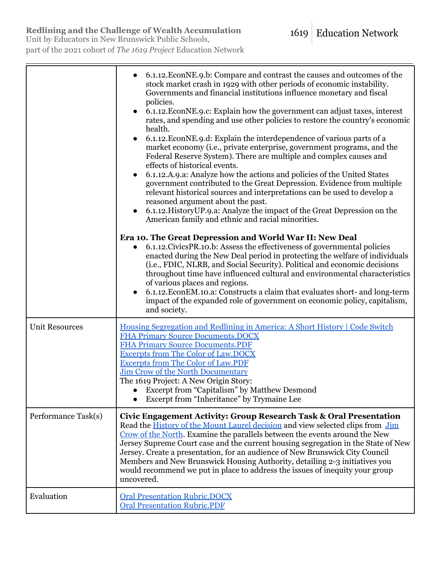# **Redlining and the Challenge of Wealth Accumulation**

Unit by Educators in New Brunswick Public Schools, part of the 2021 cohort of *The 1619 Project* Education Network

|                       | 6.1.12. EconNE.9.b: Compare and contrast the causes and outcomes of the<br>stock market crash in 1929 with other periods of economic instability.<br>Governments and financial institutions influence monetary and fiscal<br>policies.<br>6.1.12. EconNE.9.c: Explain how the government can adjust taxes, interest<br>rates, and spending and use other policies to restore the country's economic<br>health.<br>6.1.12. EconNE.9.d: Explain the interdependence of various parts of a<br>market economy (i.e., private enterprise, government programs, and the<br>Federal Reserve System). There are multiple and complex causes and<br>effects of historical events.<br>6.1.12.A.9.a: Analyze how the actions and policies of the United States<br>government contributed to the Great Depression. Evidence from multiple<br>relevant historical sources and interpretations can be used to develop a<br>reasoned argument about the past.<br>6.1.12. History UP.9.a: Analyze the impact of the Great Depression on the<br>American family and ethnic and racial minorities.<br>Era 10. The Great Depression and World War II: New Deal |
|-----------------------|---------------------------------------------------------------------------------------------------------------------------------------------------------------------------------------------------------------------------------------------------------------------------------------------------------------------------------------------------------------------------------------------------------------------------------------------------------------------------------------------------------------------------------------------------------------------------------------------------------------------------------------------------------------------------------------------------------------------------------------------------------------------------------------------------------------------------------------------------------------------------------------------------------------------------------------------------------------------------------------------------------------------------------------------------------------------------------------------------------------------------------------------|
|                       | 6.1.12. Civics PR.10.b: Assess the effectiveness of governmental policies<br>enacted during the New Deal period in protecting the welfare of individuals<br>(i.e., FDIC, NLRB, and Social Security). Political and economic decisions<br>throughout time have influenced cultural and environmental characteristics<br>of various places and regions.<br>6.1.12. Econ EM.10.a: Constructs a claim that evaluates short- and long-term<br>impact of the expanded role of government on economic policy, capitalism,<br>and society.                                                                                                                                                                                                                                                                                                                                                                                                                                                                                                                                                                                                          |
| <b>Unit Resources</b> | Housing Segregation and Redlining in America: A Short History   Code Switch<br><b>FHA Primary Source Documents. DOCX</b><br><b>FHA Primary Source Documents.PDF</b><br><b>Excerpts from The Color of Law, DOCX</b><br><b>Excerpts from The Color of Law.PDF</b><br>Jim Crow of the North Documentary<br>The 1619 Project: A New Origin Story:<br><b>Excerpt from "Capitalism" by Matthew Desmond</b><br>Excerpt from "Inheritance" by Trymaine Lee                                                                                                                                                                                                                                                                                                                                                                                                                                                                                                                                                                                                                                                                                          |
| Performance Task(s)   | Civic Engagement Activity: Group Research Task & Oral Presentation<br>Read the History of the Mount Laurel decision and view selected clips from Jim<br>Crow of the North. Examine the parallels between the events around the New<br>Jersey Supreme Court case and the current housing segregation in the State of New<br>Jersey. Create a presentation, for an audience of New Brunswick City Council<br>Members and New Brunswick Housing Authority, detailing 2-3 initiatives you<br>would recommend we put in place to address the issues of inequity your group<br>uncovered.                                                                                                                                                                                                                                                                                                                                                                                                                                                                                                                                                         |
| Evaluation            | <b>Oral Presentation Rubric, DOCX</b><br><b>Oral Presentation Rubric.PDF</b>                                                                                                                                                                                                                                                                                                                                                                                                                                                                                                                                                                                                                                                                                                                                                                                                                                                                                                                                                                                                                                                                |

\_\_\_\_\_\_\_\_\_\_\_\_\_\_\_\_\_\_\_\_\_\_\_\_\_\_\_\_\_\_\_\_\_\_\_\_\_\_\_\_\_\_\_\_\_\_\_\_\_\_\_\_\_\_\_\_\_\_\_\_\_\_\_\_\_\_\_\_\_\_\_\_\_\_\_\_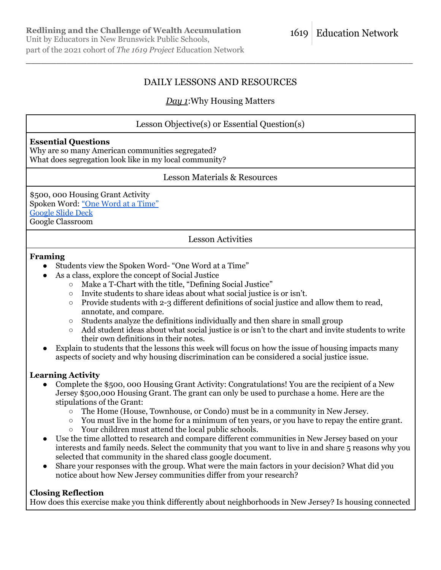# DAILY LESSONS AND RESOURCES

\_\_\_\_\_\_\_\_\_\_\_\_\_\_\_\_\_\_\_\_\_\_\_\_\_\_\_\_\_\_\_\_\_\_\_\_\_\_\_\_\_\_\_\_\_\_\_\_\_\_\_\_\_\_\_\_\_\_\_\_\_\_\_\_\_\_\_\_\_\_\_\_\_\_\_\_

# *Day 1*:Why Housing Matters

# Lesson Objective(s) or Essential Question(s)

#### **Essential Questions**

Why are so many American communities segregated? What does segregation look like in my local community?

## Lesson Materials & Resources

\$500, 000 Housing Grant Activity Spoken Word: "One Word at a [Time"](https://www.youtube.com/watch?v=YshUDa10JYY) [Google](https://1619education.org/sites/default/files/2022-03/Copy%20of%201619%20US%20History%20II%20Unit%20-%20Redlining%20and%20the%20Challenge%20of%20Wealth%20Accumulation.pdf) Slide Deck Google Classroom

Lesson Activities

#### **Framing**

- Students view the Spoken Word- "One Word at a Time"
- As a class, explore the concept of Social Justice
	- Make a T-Chart with the title, "Defining Social Justice"
	- Invite students to share ideas about what social justice is or isn't.
	- $\circ$  Provide students with 2-3 different definitions of social justice and allow them to read, annotate, and compare.
	- Students analyze the definitions individually and then share in small group
	- Add student ideas about what social justice is or isn't to the chart and invite students to write their own definitions in their notes.
- Explain to students that the lessons this week will focus on how the issue of housing impacts many aspects of society and why housing discrimination can be considered a social justice issue.

## **Learning Activity**

- Complete the \$500, 000 Housing Grant Activity: Congratulations! You are the recipient of a New Jersey \$500,000 Housing Grant. The grant can only be used to purchase a home. Here are the stipulations of the Grant:
	- The Home (House, Townhouse, or Condo) must be in a community in New Jersey.
	- $\circ$  You must live in the home for a minimum of ten years, or you have to repay the entire grant.
	- Your children must attend the local public schools.
- Use the time allotted to research and compare different communities in New Jersey based on your interests and family needs. Select the community that you want to live in and share 5 reasons why you selected that community in the shared class google document.
- Share your responses with the group. What were the main factors in your decision? What did you notice about how New Jersey communities differ from your research?

# **Closing Reflection**

How does this exercise make you think differently about neighborhoods in New Jersey? Is housing connected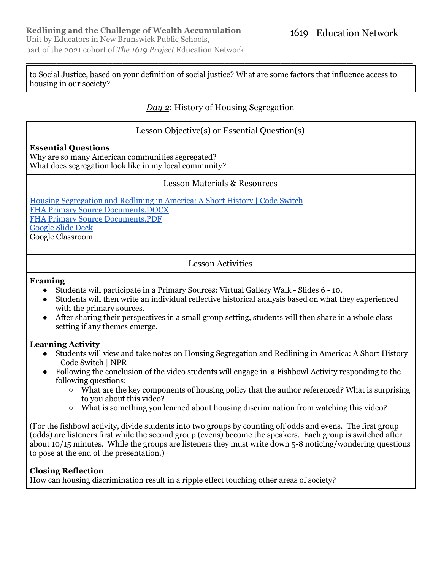to Social Justice, based on your definition of social justice? What are some factors that influence access to housing in our society?

\_\_\_\_\_\_\_\_\_\_\_\_\_\_\_\_\_\_\_\_\_\_\_\_\_\_\_\_\_\_\_\_\_\_\_\_\_\_\_\_\_\_\_\_\_\_\_\_\_\_\_\_\_\_\_\_\_\_\_\_\_\_\_\_\_\_\_\_\_\_\_\_\_\_\_\_

# *Day 2*: History of Housing Segregation

Lesson Objective(s) or Essential Question(s)

## **Essential Questions**

Why are so many American communities segregated? What does segregation look like in my local community?

## Lesson Materials & Resources

Housing [Segregation](https://www.youtube.com/watch?v=O5FBJyqfoLM&t=270s) and Redlining in America: A Short History | Code Switch FHA Primary Source [Documents.DOCX](https://1619education.org/sites/default/files/2022-03/FHA%20Primary%20Source%20Documents.docx) FHA Primary Source [Documents.PDF](https://1619education.org/sites/default/files/2022-03/FHA%20Primary%20Source%20Documents.pdf) [Google](https://1619education.org/sites/default/files/2022-03/Copy%20of%201619%20US%20History%20II%20Unit%20-%20Redlining%20and%20the%20Challenge%20of%20Wealth%20Accumulation.pdf) Slide Deck Google Classroom

Lesson Activities

#### **Framing**

- Students will participate in a Primary Sources: Virtual Gallery Walk Slides 6 10.
- Students will then write an individual reflective historical analysis based on what they experienced with the primary sources.
- After sharing their perspectives in a small group setting, students will then share in a whole class setting if any themes emerge.

## **Learning Activity**

- Students will view and take notes on Housing Segregation and Redlining in America: A Short History | Code Switch | NPR
- Following the conclusion of the video students will engage in a Fishbowl Activity responding to the following questions:
	- What are the key components of housing policy that the author referenced? What is surprising to you about this video?
	- What is something you learned about housing discrimination from watching this video?

(For the fishbowl activity, divide students into two groups by counting off odds and evens. The first group (odds) are listeners first while the second group (evens) become the speakers. Each group is switched after about 10/15 minutes. While the groups are listeners they must write down 5-8 noticing/wondering questions to pose at the end of the presentation.)

## **Closing Reflection**

How can housing discrimination result in a ripple effect touching other areas of society?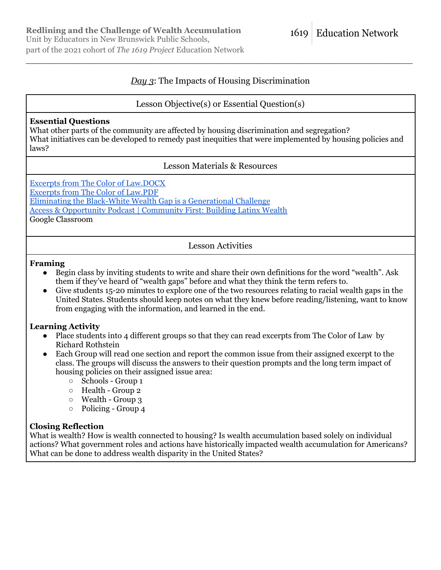part of the 2021 cohort of *The 1619 Project* Education Network

#### **Education Network** 1619

# *Day 3*: The Impacts of Housing Discrimination

\_\_\_\_\_\_\_\_\_\_\_\_\_\_\_\_\_\_\_\_\_\_\_\_\_\_\_\_\_\_\_\_\_\_\_\_\_\_\_\_\_\_\_\_\_\_\_\_\_\_\_\_\_\_\_\_\_\_\_\_\_\_\_\_\_\_\_\_\_\_\_\_\_\_\_\_

# Lesson Objective(s) or Essential Question(s)

## **Essential Questions**

What other parts of the community are affected by housing discrimination and segregation? What initiatives can be developed to remedy past inequities that were implemented by housing policies and laws?

# Lesson Materials & Resources

Excerpts from The Color of [Law.DOCX](https://1619education.org/sites/default/files/2022-03/The%20Color%20of%20Law%20Excerpts%20.docx) Excerpts from The Color of [Law.PDF](https://1619education.org/sites/default/files/2022-03/The%20Color%20of%20Law%20Excerpts%20.pdf) Eliminating the Black-White Wealth Gap is a [Generational](https://www.americanprogress.org/article/eliminating-black-white-wealth-gap-generational-challenge/) Challenge Access & [Opportunity](https://www.morganstanley.com/ideas/carla-harris-building-latinx-wealth-access-and-opportunity-podcast/) Podcast | Community First: Building Latinx Wealth Google Classroom

Lesson Activities

#### **Framing**

- Begin class by inviting students to write and share their own definitions for the word "wealth". Ask them if they've heard of "wealth gaps" before and what they think the term refers to.
- Give students 15-20 minutes to explore one of the two resources relating to racial wealth gaps in the United States. Students should keep notes on what they knew before reading/listening, want to know from engaging with the information, and learned in the end.

## **Learning Activity**

- Place students into 4 different groups so that they can read excerpts from The Color of Law by Richard Rothstein
- Each Group will read one section and report the common issue from their assigned excerpt to the class. The groups will discuss the answers to their question prompts and the long term impact of housing policies on their assigned issue area:
	- Schools Group 1
	- Health Group 2
	- Wealth Group 3
	- Policing Group 4

## **Closing Reflection**

What is wealth? How is wealth connected to housing? Is wealth accumulation based solely on individual actions? What government roles and actions have historically impacted wealth accumulation for Americans? What can be done to address wealth disparity in the United States?